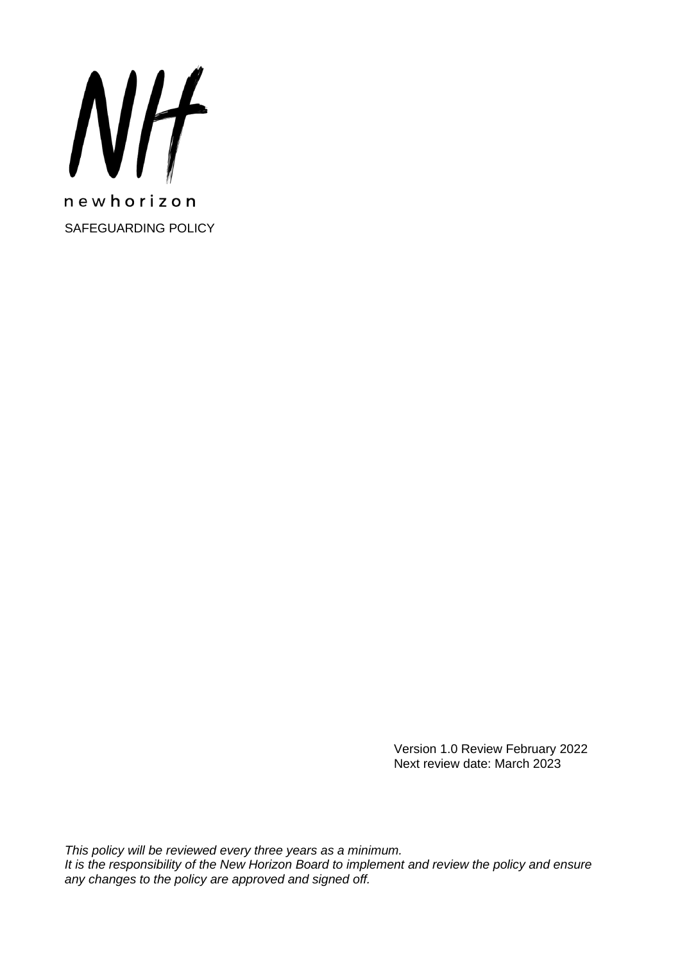

Version 1.0 Review February 2022 Next review date: March 2023

*This policy will be reviewed every three years as a minimum. It is the responsibility of the New Horizon Board to implement and review the policy and ensure any changes to the policy are approved and signed off.*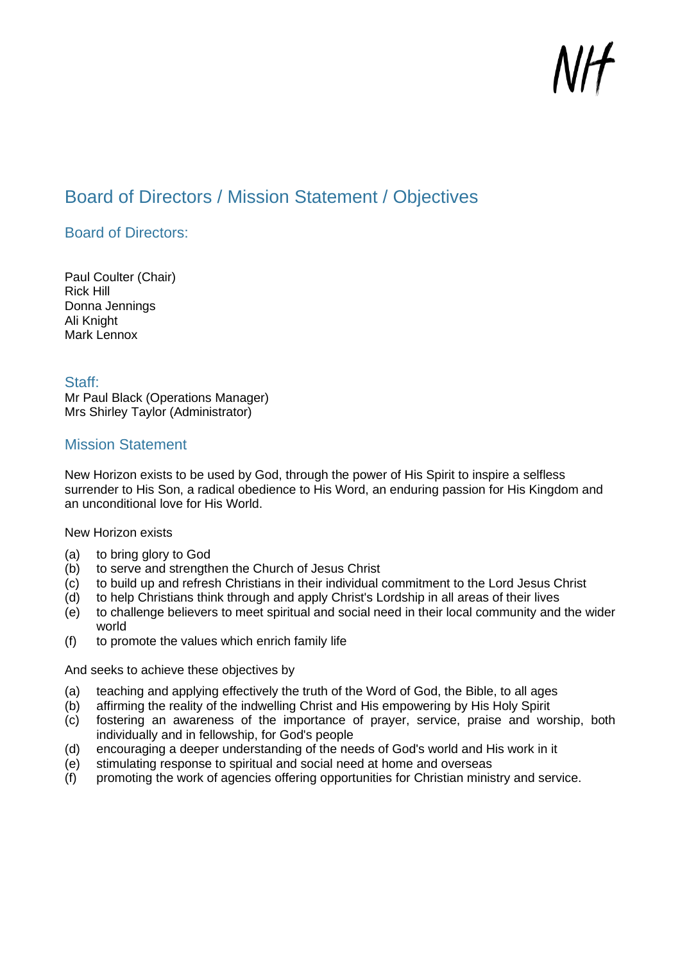## <span id="page-1-0"></span>Board of Directors / Mission Statement / Objectives

## <span id="page-1-1"></span>Board of Directors:

Paul Coulter (Chair) Rick Hill Donna Jennings Ali Knight Mark Lennox

#### <span id="page-1-2"></span>Staff:

Mr Paul Black (Operations Manager) Mrs Shirley Taylor (Administrator)

#### <span id="page-1-3"></span>Mission Statement

New Horizon exists to be used by God, through the power of His Spirit to inspire a selfless surrender to His Son, a radical obedience to His Word, an enduring passion for His Kingdom and an unconditional love for His World.

New Horizon exists

- (a) to bring glory to God
- (b) to serve and strengthen the Church of Jesus Christ
- (c) to build up and refresh Christians in their individual commitment to the Lord Jesus Christ
- (d) to help Christians think through and apply Christ's Lordship in all areas of their lives
- (e) to challenge believers to meet spiritual and social need in their local community and the wider world
- (f) to promote the values which enrich family life

#### And seeks to achieve these objectives by

- (a) teaching and applying effectively the truth of the Word of God, the Bible, to all ages
- (b) affirming the reality of the indwelling Christ and His empowering by His Holy Spirit
- (c) fostering an awareness of the importance of prayer, service, praise and worship, both individually and in fellowship, for God's people
- (d) encouraging a deeper understanding of the needs of God's world and His work in it
- (e) stimulating response to spiritual and social need at home and overseas
- (f) promoting the work of agencies offering opportunities for Christian ministry and service.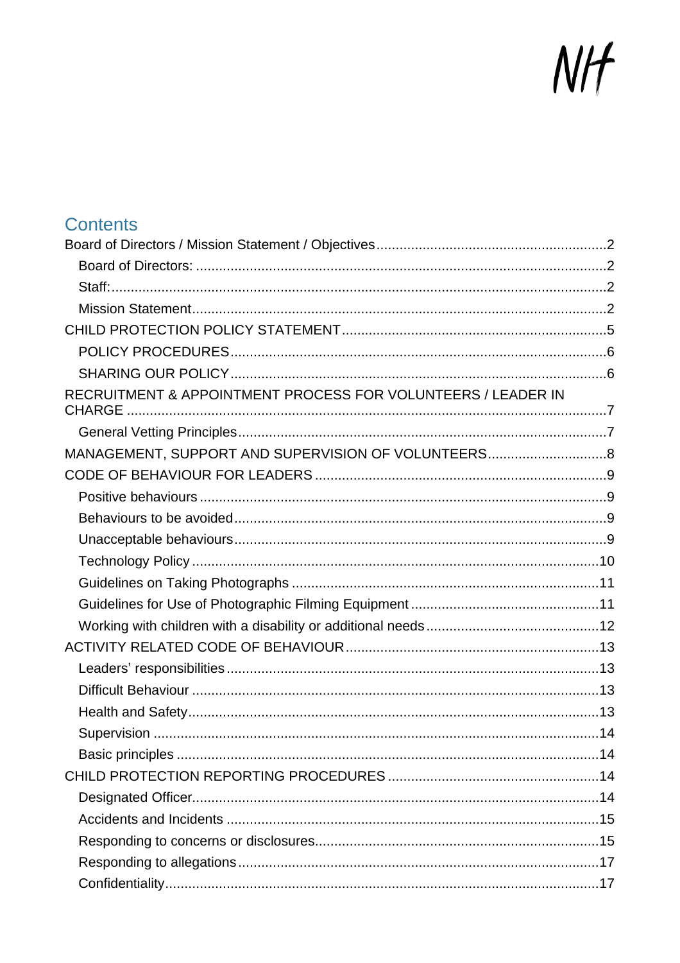# NIF

| <b>Contents</b>                                              |  |
|--------------------------------------------------------------|--|
|                                                              |  |
|                                                              |  |
|                                                              |  |
|                                                              |  |
|                                                              |  |
|                                                              |  |
|                                                              |  |
| RECRUITMENT & APPOINTMENT PROCESS FOR VOLUNTEERS / LEADER IN |  |
|                                                              |  |
| MANAGEMENT, SUPPORT AND SUPERVISION OF VOLUNTEERS8           |  |
|                                                              |  |
|                                                              |  |
|                                                              |  |
|                                                              |  |
|                                                              |  |
|                                                              |  |
|                                                              |  |
|                                                              |  |
|                                                              |  |
|                                                              |  |
|                                                              |  |
|                                                              |  |
|                                                              |  |
|                                                              |  |
|                                                              |  |
|                                                              |  |
|                                                              |  |
|                                                              |  |
|                                                              |  |
|                                                              |  |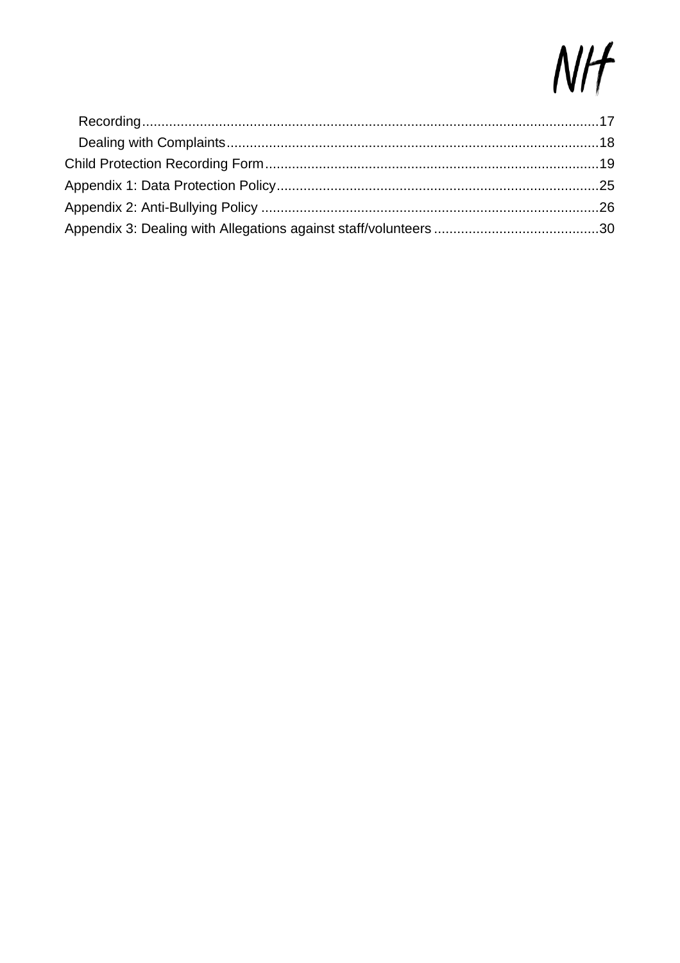# NIF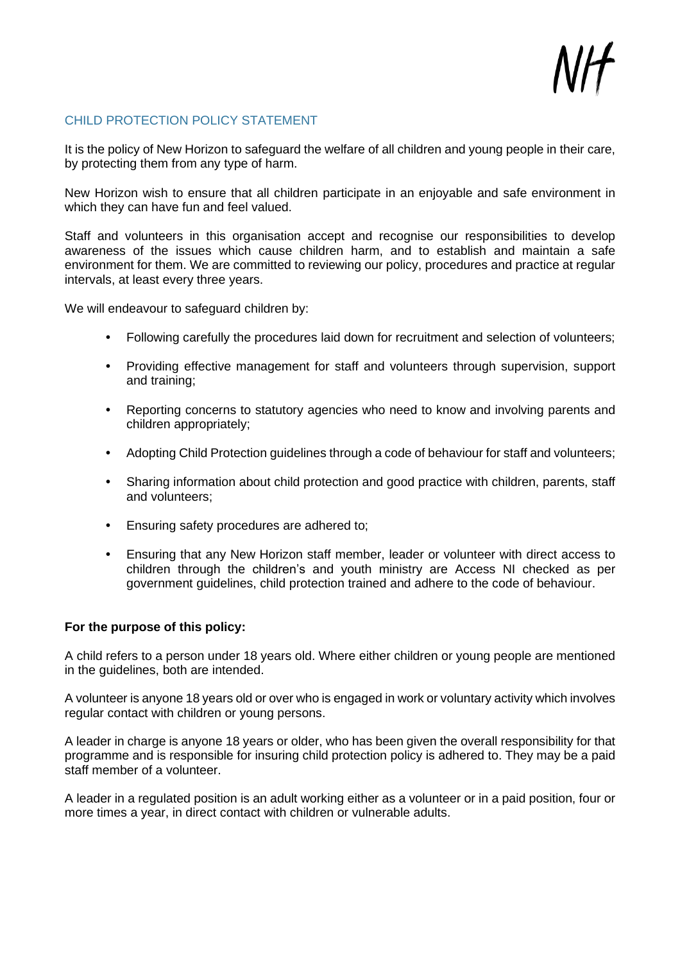#### <span id="page-4-0"></span>CHILD PROTECTION POLICY STATEMENT

It is the policy of New Horizon to safeguard the welfare of all children and young people in their care, by protecting them from any type of harm.

New Horizon wish to ensure that all children participate in an enjoyable and safe environment in which they can have fun and feel valued.

Staff and volunteers in this organisation accept and recognise our responsibilities to develop awareness of the issues which cause children harm, and to establish and maintain a safe environment for them. We are committed to reviewing our policy, procedures and practice at regular intervals, at least every three years.

We will endeavour to safeguard children by:

- **•** Following carefully the procedures laid down for recruitment and selection of volunteers;
- **•** Providing effective management for staff and volunteers through supervision, support and training;
- **•** Reporting concerns to statutory agencies who need to know and involving parents and children appropriately;
- **•** Adopting Child Protection guidelines through a code of behaviour for staff and volunteers;
- **•** Sharing information about child protection and good practice with children, parents, staff and volunteers;
- **•** Ensuring safety procedures are adhered to;
- **•** Ensuring that any New Horizon staff member, leader or volunteer with direct access to children through the children's and youth ministry are Access NI checked as per government guidelines, child protection trained and adhere to the code of behaviour.

#### **For the purpose of this policy:**

A child refers to a person under 18 years old. Where either children or young people are mentioned in the guidelines, both are intended.

A volunteer is anyone 18 years old or over who is engaged in work or voluntary activity which involves regular contact with children or young persons.

A leader in charge is anyone 18 years or older, who has been given the overall responsibility for that programme and is responsible for insuring child protection policy is adhered to. They may be a paid staff member of a volunteer.

A leader in a regulated position is an adult working either as a volunteer or in a paid position, four or more times a year, in direct contact with children or vulnerable adults.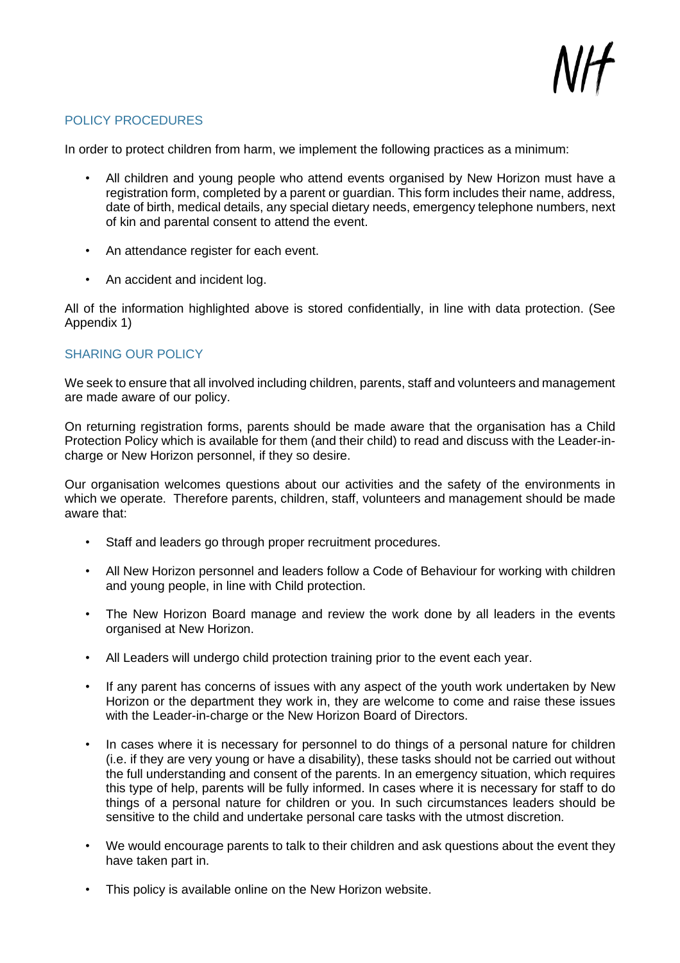#### <span id="page-5-0"></span>POLICY PROCEDURES

In order to protect children from harm, we implement the following practices as a minimum:

- All children and young people who attend events organised by New Horizon must have a registration form, completed by a parent or guardian. This form includes their name, address, date of birth, medical details, any special dietary needs, emergency telephone numbers, next of kin and parental consent to attend the event.
- An attendance register for each event.
- An accident and incident log.

All of the information highlighted above is stored confidentially, in line with data protection. (See Appendix 1)

#### <span id="page-5-1"></span>SHARING OUR POLICY

We seek to ensure that all involved including children, parents, staff and volunteers and management are made aware of our policy.

On returning registration forms, parents should be made aware that the organisation has a Child Protection Policy which is available for them (and their child) to read and discuss with the Leader-incharge or New Horizon personnel, if they so desire.

Our organisation welcomes questions about our activities and the safety of the environments in which we operate. Therefore parents, children, staff, volunteers and management should be made aware that:

- Staff and leaders go through proper recruitment procedures.
- All New Horizon personnel and leaders follow a Code of Behaviour for working with children and young people, in line with Child protection.
- The New Horizon Board manage and review the work done by all leaders in the events organised at New Horizon.
- All Leaders will undergo child protection training prior to the event each year.
- If any parent has concerns of issues with any aspect of the youth work undertaken by New Horizon or the department they work in, they are welcome to come and raise these issues with the Leader-in-charge or the New Horizon Board of Directors.
- In cases where it is necessary for personnel to do things of a personal nature for children (i.e. if they are very young or have a disability), these tasks should not be carried out without the full understanding and consent of the parents. In an emergency situation, which requires this type of help, parents will be fully informed. In cases where it is necessary for staff to do things of a personal nature for children or you. In such circumstances leaders should be sensitive to the child and undertake personal care tasks with the utmost discretion.
- We would encourage parents to talk to their children and ask questions about the event they have taken part in.
- This policy is available online on the New Horizon website.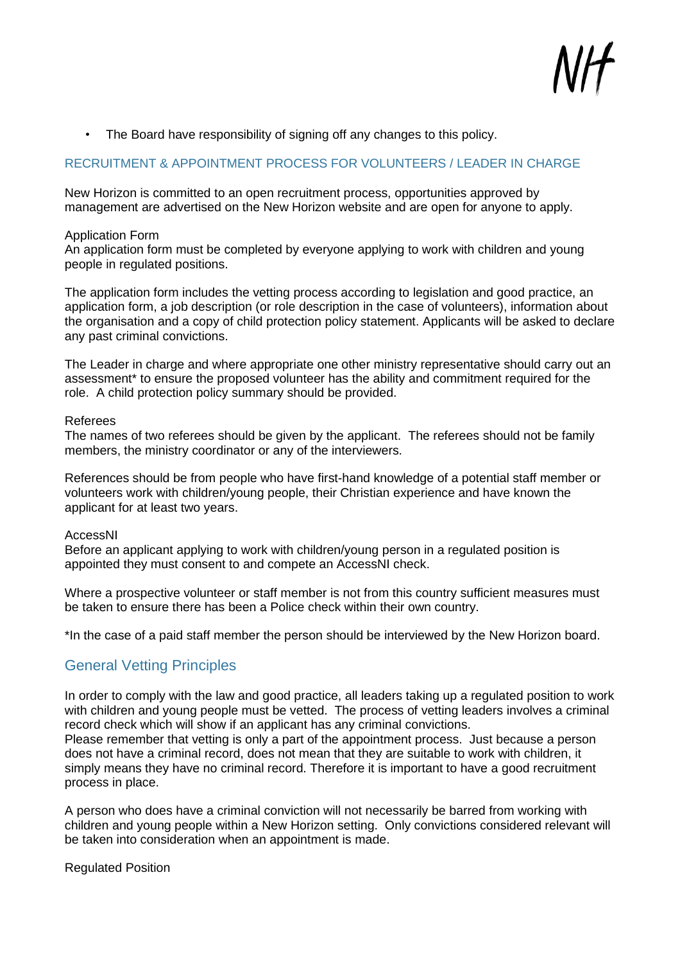• The Board have responsibility of signing off any changes to this policy.

#### <span id="page-6-0"></span>RECRUITMENT & APPOINTMENT PROCESS FOR VOLUNTEERS / LEADER IN CHARGE

New Horizon is committed to an open recruitment process, opportunities approved by management are advertised on the New Horizon website and are open for anyone to apply.

#### Application Form

An application form must be completed by everyone applying to work with children and young people in regulated positions.

The application form includes the vetting process according to legislation and good practice, an application form, a job description (or role description in the case of volunteers), information about the organisation and a copy of child protection policy statement. Applicants will be asked to declare any past criminal convictions.

The Leader in charge and where appropriate one other ministry representative should carry out an assessment\* to ensure the proposed volunteer has the ability and commitment required for the role. A child protection policy summary should be provided.

#### Referees

The names of two referees should be given by the applicant. The referees should not be family members, the ministry coordinator or any of the interviewers.

References should be from people who have first-hand knowledge of a potential staff member or volunteers work with children/young people, their Christian experience and have known the applicant for at least two years.

#### AccessNI

Before an applicant applying to work with children/young person in a regulated position is appointed they must consent to and compete an AccessNI check.

Where a prospective volunteer or staff member is not from this country sufficient measures must be taken to ensure there has been a Police check within their own country.

\*In the case of a paid staff member the person should be interviewed by the New Horizon board.

## <span id="page-6-1"></span>General Vetting Principles

In order to comply with the law and good practice, all leaders taking up a regulated position to work with children and young people must be vetted. The process of vetting leaders involves a criminal record check which will show if an applicant has any criminal convictions.

Please remember that vetting is only a part of the appointment process. Just because a person does not have a criminal record, does not mean that they are suitable to work with children, it simply means they have no criminal record. Therefore it is important to have a good recruitment process in place.

A person who does have a criminal conviction will not necessarily be barred from working with children and young people within a New Horizon setting. Only convictions considered relevant will be taken into consideration when an appointment is made.

Regulated Position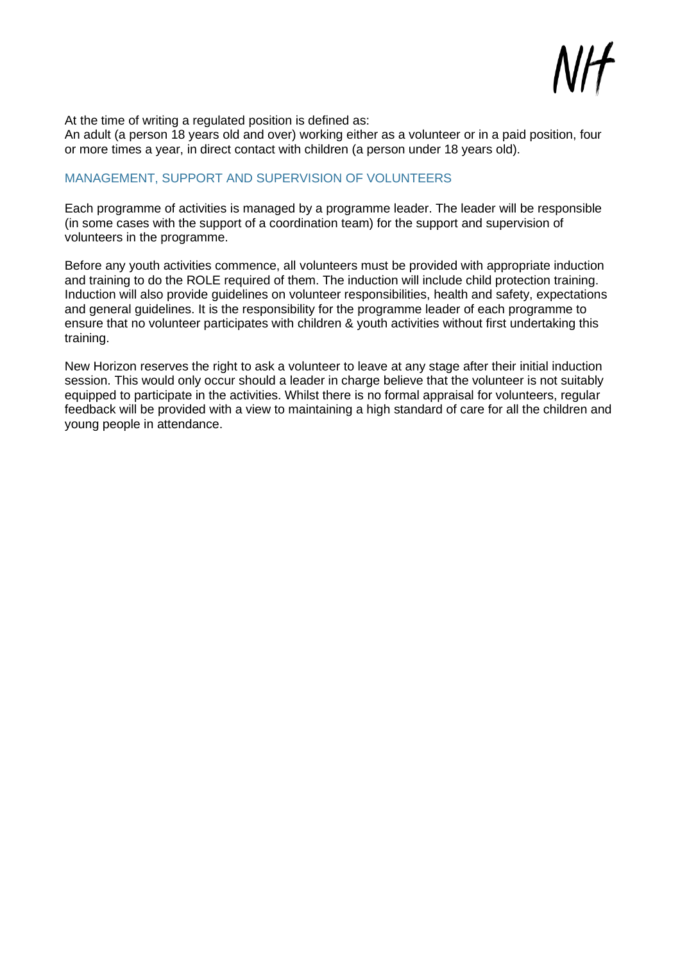

At the time of writing a regulated position is defined as:

An adult (a person 18 years old and over) working either as a volunteer or in a paid position, four or more times a year, in direct contact with children (a person under 18 years old).

#### <span id="page-7-0"></span>MANAGEMENT, SUPPORT AND SUPERVISION OF VOLUNTEERS

Each programme of activities is managed by a programme leader. The leader will be responsible (in some cases with the support of a coordination team) for the support and supervision of volunteers in the programme.

Before any youth activities commence, all volunteers must be provided with appropriate induction and training to do the ROLE required of them. The induction will include child protection training. Induction will also provide guidelines on volunteer responsibilities, health and safety, expectations and general guidelines. It is the responsibility for the programme leader of each programme to ensure that no volunteer participates with children & youth activities without first undertaking this training.

New Horizon reserves the right to ask a volunteer to leave at any stage after their initial induction session. This would only occur should a leader in charge believe that the volunteer is not suitably equipped to participate in the activities. Whilst there is no formal appraisal for volunteers, regular feedback will be provided with a view to maintaining a high standard of care for all the children and young people in attendance.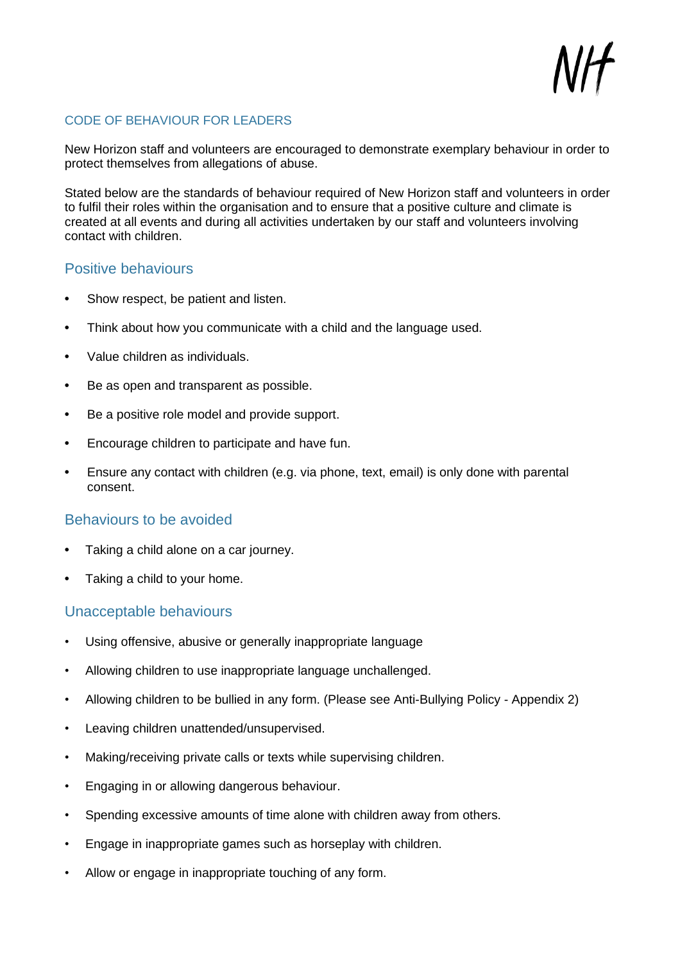#### <span id="page-8-0"></span>CODE OF BEHAVIOUR FOR LEADERS

New Horizon staff and volunteers are encouraged to demonstrate exemplary behaviour in order to protect themselves from allegations of abuse.

Stated below are the standards of behaviour required of New Horizon staff and volunteers in order to fulfil their roles within the organisation and to ensure that a positive culture and climate is created at all events and during all activities undertaken by our staff and volunteers involving contact with children.

#### <span id="page-8-1"></span>Positive behaviours

- **•** Show respect, be patient and listen.
- **•** Think about how you communicate with a child and the language used.
- **•** Value children as individuals.
- **•** Be as open and transparent as possible.
- **•** Be a positive role model and provide support.
- **•** Encourage children to participate and have fun.
- **•** Ensure any contact with children (e.g. via phone, text, email) is only done with parental consent.

#### <span id="page-8-2"></span>Behaviours to be avoided

- **•** Taking a child alone on a car journey.
- **•** Taking a child to your home.

#### <span id="page-8-3"></span>Unacceptable behaviours

- Using offensive, abusive or generally inappropriate language
- Allowing children to use inappropriate language unchallenged.
- Allowing children to be bullied in any form. (Please see Anti-Bullying Policy Appendix 2)
- Leaving children unattended/unsupervised.
- Making/receiving private calls or texts while supervising children.
- Engaging in or allowing dangerous behaviour.
- Spending excessive amounts of time alone with children away from others.
- Engage in inappropriate games such as horseplay with children.
- Allow or engage in inappropriate touching of any form.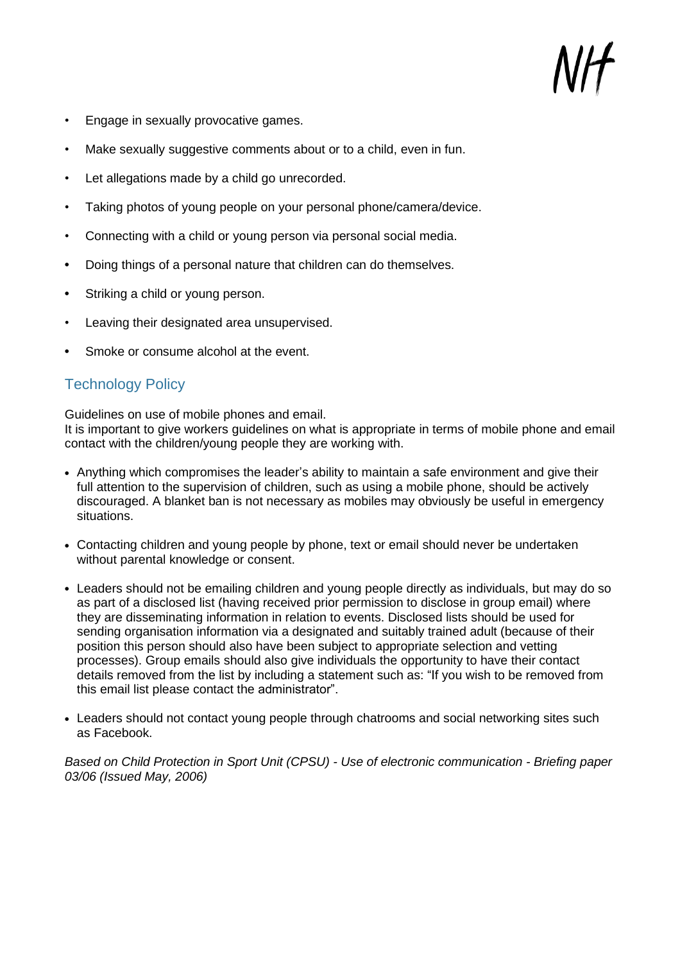- Engage in sexually provocative games.
- Make sexually suggestive comments about or to a child, even in fun.
- Let allegations made by a child go unrecorded.
- Taking photos of young people on your personal phone/camera/device.
- Connecting with a child or young person via personal social media.
- **•** Doing things of a personal nature that children can do themselves.
- **•** Striking a child or young person.
- Leaving their designated area unsupervised.
- **•** Smoke or consume alcohol at the event.

## <span id="page-9-0"></span>Technology Policy

Guidelines on use of mobile phones and email.

It is important to give workers guidelines on what is appropriate in terms of mobile phone and email contact with the children/young people they are working with.

- **•** Anything which compromises the leader's ability to maintain a safe environment and give their full attention to the supervision of children, such as using a mobile phone, should be actively discouraged. A blanket ban is not necessary as mobiles may obviously be useful in emergency situations.
- **•** Contacting children and young people by phone, text or email should never be undertaken without parental knowledge or consent.
- **•** Leaders should not be emailing children and young people directly as individuals, but may do so as part of a disclosed list (having received prior permission to disclose in group email) where they are disseminating information in relation to events. Disclosed lists should be used for sending organisation information via a designated and suitably trained adult (because of their position this person should also have been subject to appropriate selection and vetting processes). Group emails should also give individuals the opportunity to have their contact details removed from the list by including a statement such as: "If you wish to be removed from this email list please contact the administrator".
- **•** Leaders should not contact young people through chatrooms and social networking sites such as Facebook.

<span id="page-9-1"></span>*Based on Child Protection in Sport Unit (CPSU) - Use of electronic communication - Briefing paper 03/06 (Issued May, 2006)*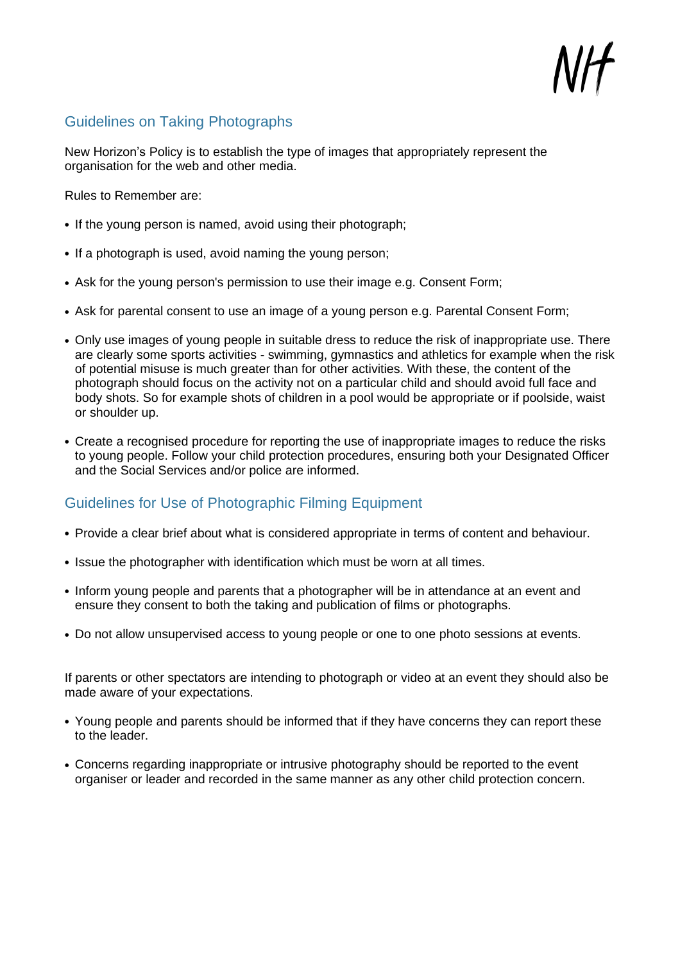## Guidelines on Taking Photographs

New Horizon's Policy is to establish the type of images that appropriately represent the organisation for the web and other media.

Rules to Remember are:

- **•** If the young person is named, avoid using their photograph;
- **•** If a photograph is used, avoid naming the young person;
- **•** Ask for the young person's permission to use their image e.g. Consent Form;
- **•** Ask for parental consent to use an image of a young person e.g. Parental Consent Form;
- **•** Only use images of young people in suitable dress to reduce the risk of inappropriate use. There are clearly some sports activities - swimming, gymnastics and athletics for example when the risk of potential misuse is much greater than for other activities. With these, the content of the photograph should focus on the activity not on a particular child and should avoid full face and body shots. So for example shots of children in a pool would be appropriate or if poolside, waist or shoulder up.
- **•** Create a recognised procedure for reporting the use of inappropriate images to reduce the risks to young people. Follow your child protection procedures, ensuring both your Designated Officer and the Social Services and/or police are informed.

## <span id="page-10-0"></span>Guidelines for Use of Photographic Filming Equipment

- **•** Provide a clear brief about what is considered appropriate in terms of content and behaviour.
- **•** Issue the photographer with identification which must be worn at all times.
- **•** Inform young people and parents that a photographer will be in attendance at an event and ensure they consent to both the taking and publication of films or photographs.
- **•** Do not allow unsupervised access to young people or one to one photo sessions at events.

If parents or other spectators are intending to photograph or video at an event they should also be made aware of your expectations.

- **•** Young people and parents should be informed that if they have concerns they can report these to the leader.
- **•** Concerns regarding inappropriate or intrusive photography should be reported to the event organiser or leader and recorded in the same manner as any other child protection concern.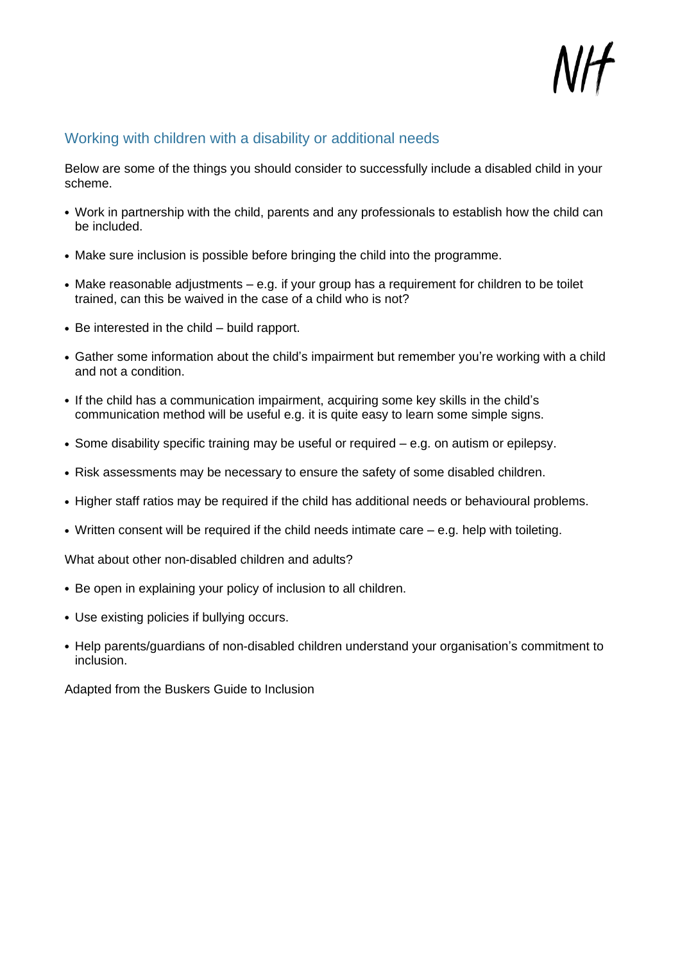

#### <span id="page-11-0"></span>Working with children with a disability or additional needs

Below are some of the things you should consider to successfully include a disabled child in your scheme.

- **•** Work in partnership with the child, parents and any professionals to establish how the child can be included.
- **•** Make sure inclusion is possible before bringing the child into the programme.
- **•** Make reasonable adjustments e.g. if your group has a requirement for children to be toilet trained, can this be waived in the case of a child who is not?
- **•** Be interested in the child build rapport.
- **•** Gather some information about the child's impairment but remember you're working with a child and not a condition.
- **•** If the child has a communication impairment, acquiring some key skills in the child's communication method will be useful e.g. it is quite easy to learn some simple signs.
- **•** Some disability specific training may be useful or required e.g. on autism or epilepsy.
- **•** Risk assessments may be necessary to ensure the safety of some disabled children.
- **•** Higher staff ratios may be required if the child has additional needs or behavioural problems.
- **•** Written consent will be required if the child needs intimate care e.g. help with toileting.

What about other non-disabled children and adults?

- **•** Be open in explaining your policy of inclusion to all children.
- **•** Use existing policies if bullying occurs.
- **•** Help parents/guardians of non-disabled children understand your organisation's commitment to inclusion.

Adapted from the Buskers Guide to Inclusion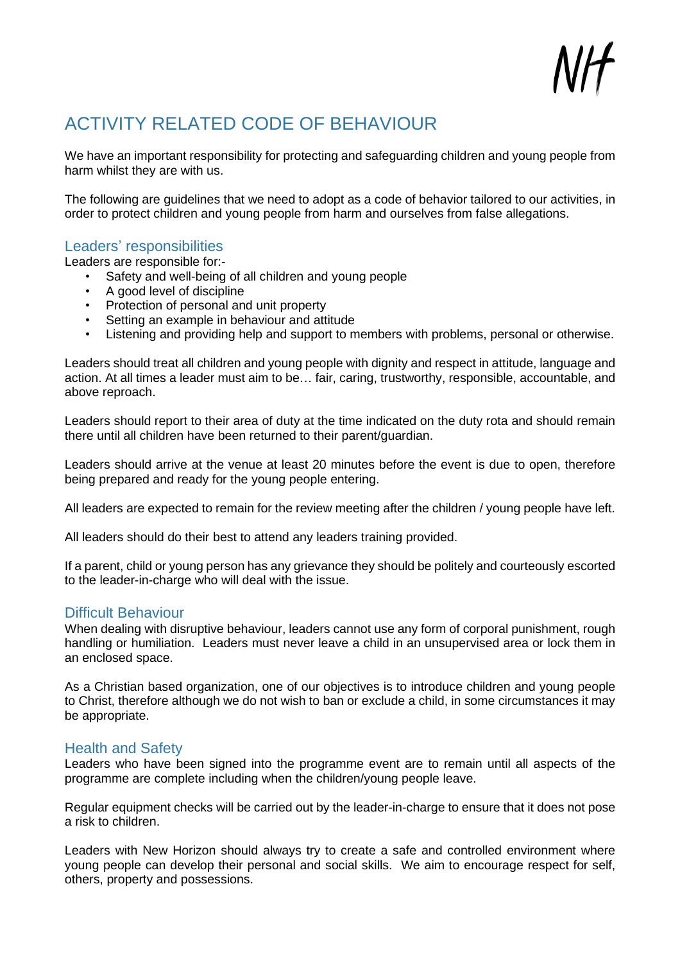# <span id="page-12-0"></span>ACTIVITY RELATED CODE OF BEHAVIOUR

We have an important responsibility for protecting and safeguarding children and young people from harm whilst they are with us.

The following are guidelines that we need to adopt as a code of behavior tailored to our activities, in order to protect children and young people from harm and ourselves from false allegations.

#### <span id="page-12-1"></span>Leaders' responsibilities

Leaders are responsible for:-

- Safety and well-being of all children and young people
- A good level of discipline
- Protection of personal and unit property
- Setting an example in behaviour and attitude
- Listening and providing help and support to members with problems, personal or otherwise.

Leaders should treat all children and young people with dignity and respect in attitude, language and action. At all times a leader must aim to be… fair, caring, trustworthy, responsible, accountable, and above reproach.

Leaders should report to their area of duty at the time indicated on the duty rota and should remain there until all children have been returned to their parent/guardian.

Leaders should arrive at the venue at least 20 minutes before the event is due to open, therefore being prepared and ready for the young people entering.

All leaders are expected to remain for the review meeting after the children / young people have left.

All leaders should do their best to attend any leaders training provided.

If a parent, child or young person has any grievance they should be politely and courteously escorted to the leader-in-charge who will deal with the issue.

#### <span id="page-12-2"></span>Difficult Behaviour

When dealing with disruptive behaviour, leaders cannot use any form of corporal punishment, rough handling or humiliation. Leaders must never leave a child in an unsupervised area or lock them in an enclosed space.

As a Christian based organization, one of our objectives is to introduce children and young people to Christ, therefore although we do not wish to ban or exclude a child, in some circumstances it may be appropriate.

#### <span id="page-12-3"></span>Health and Safety

Leaders who have been signed into the programme event are to remain until all aspects of the programme are complete including when the children/young people leave.

Regular equipment checks will be carried out by the leader-in-charge to ensure that it does not pose a risk to children.

Leaders with New Horizon should always try to create a safe and controlled environment where young people can develop their personal and social skills. We aim to encourage respect for self, others, property and possessions.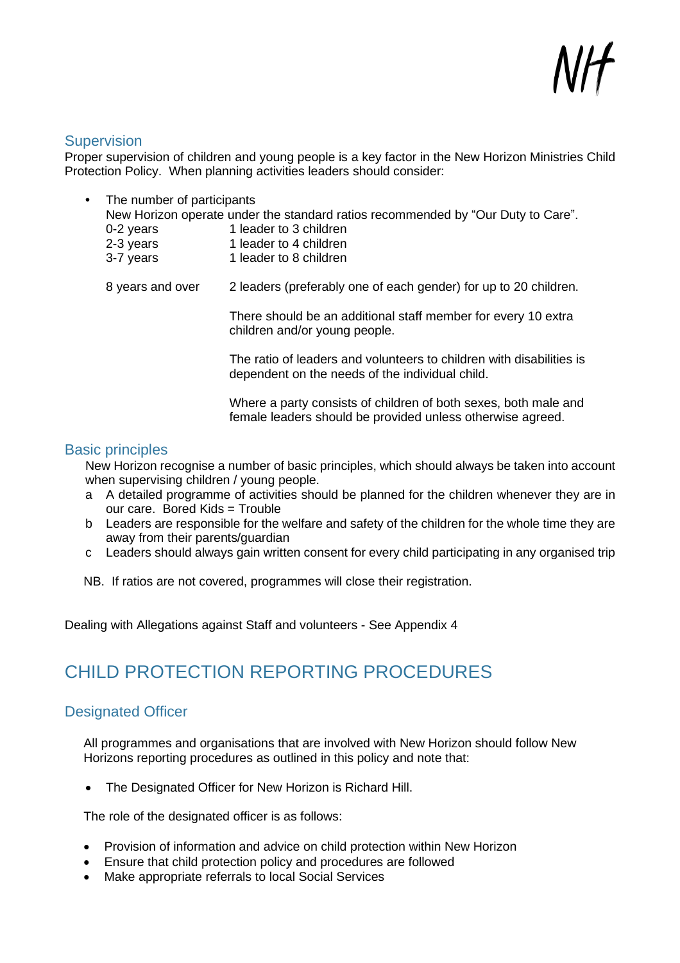#### <span id="page-13-0"></span>**Supervision**

Proper supervision of children and young people is a key factor in the New Horizon Ministries Child Protection Policy. When planning activities leaders should consider:

| $\bullet$ | The number of participants | New Horizon operate under the standard ratios recommended by "Our Duty to Care".               |
|-----------|----------------------------|------------------------------------------------------------------------------------------------|
|           | 0-2 years                  | 1 leader to 3 children                                                                         |
|           | 2-3 years                  | 1 leader to 4 children                                                                         |
|           | 3-7 years                  | 1 leader to 8 children                                                                         |
|           |                            |                                                                                                |
|           | 8 years and over           | 2 leaders (preferably one of each gender) for up to 20 children.                               |
|           |                            |                                                                                                |
|           |                            | There should be an additional staff member for every 10 extra<br>children and/or young people. |
|           |                            | The ratio of leaders and volunteers to children with disabilities is                           |
|           |                            | dependent on the needs of the individual child.                                                |
|           |                            |                                                                                                |
|           |                            | Where a party consists of children of both sexes, both male and                                |

#### <span id="page-13-1"></span>Basic principles

New Horizon recognise a number of basic principles, which should always be taken into account when supervising children / young people.

female leaders should be provided unless otherwise agreed.

- a A detailed programme of activities should be planned for the children whenever they are in our care. Bored Kids = Trouble
- b Leaders are responsible for the welfare and safety of the children for the whole time they are away from their parents/guardian
- c Leaders should always gain written consent for every child participating in any organised trip

NB. If ratios are not covered, programmes will close their registration.

Dealing with Allegations against Staff and volunteers - See Appendix 4

# <span id="page-13-2"></span>CHILD PROTECTION REPORTING PROCEDURES

## <span id="page-13-3"></span>Designated Officer

All programmes and organisations that are involved with New Horizon should follow New Horizons reporting procedures as outlined in this policy and note that:

• The Designated Officer for New Horizon is Richard Hill.

The role of the designated officer is as follows:

- Provision of information and advice on child protection within New Horizon
- Ensure that child protection policy and procedures are followed
- Make appropriate referrals to local Social Services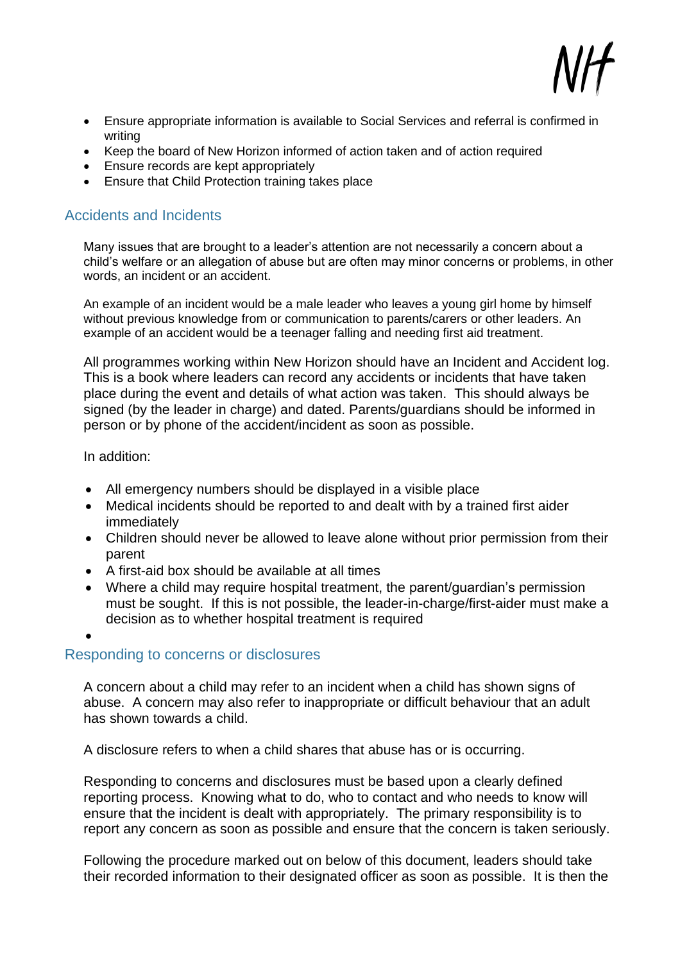

- Ensure appropriate information is available to Social Services and referral is confirmed in writing
- Keep the board of New Horizon informed of action taken and of action required
- Ensure records are kept appropriately
- Ensure that Child Protection training takes place

## <span id="page-14-0"></span>Accidents and Incidents

Many issues that are brought to a leader's attention are not necessarily a concern about a child's welfare or an allegation of abuse but are often may minor concerns or problems, in other words, an incident or an accident.

An example of an incident would be a male leader who leaves a young girl home by himself without previous knowledge from or communication to parents/carers or other leaders. An example of an accident would be a teenager falling and needing first aid treatment.

All programmes working within New Horizon should have an Incident and Accident log. This is a book where leaders can record any accidents or incidents that have taken place during the event and details of what action was taken. This should always be signed (by the leader in charge) and dated. Parents/guardians should be informed in person or by phone of the accident/incident as soon as possible.

In addition:

- All emergency numbers should be displayed in a visible place
- Medical incidents should be reported to and dealt with by a trained first aider immediately
- Children should never be allowed to leave alone without prior permission from their parent
- A first-aid box should be available at all times
- Where a child may require hospital treatment, the parent/guardian's permission must be sought. If this is not possible, the leader-in-charge/first-aider must make a decision as to whether hospital treatment is required

•

## <span id="page-14-1"></span>Responding to concerns or disclosures

A concern about a child may refer to an incident when a child has shown signs of abuse. A concern may also refer to inappropriate or difficult behaviour that an adult has shown towards a child.

A disclosure refers to when a child shares that abuse has or is occurring.

Responding to concerns and disclosures must be based upon a clearly defined reporting process. Knowing what to do, who to contact and who needs to know will ensure that the incident is dealt with appropriately. The primary responsibility is to report any concern as soon as possible and ensure that the concern is taken seriously.

Following the procedure marked out on below of this document, leaders should take their recorded information to their designated officer as soon as possible. It is then the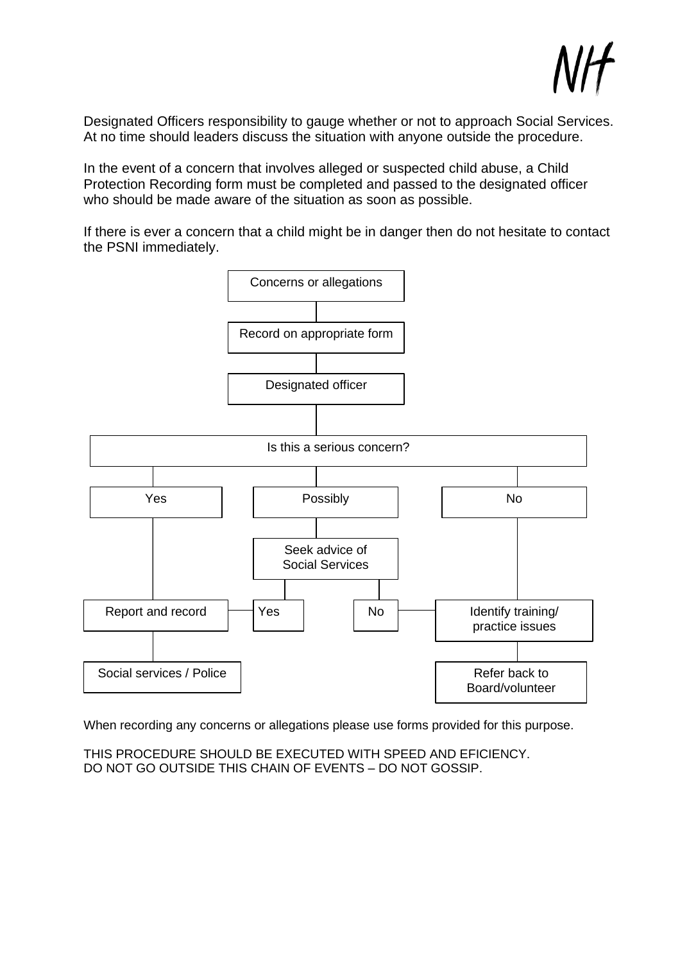Designated Officers responsibility to gauge whether or not to approach Social Services. At no time should leaders discuss the situation with anyone outside the procedure.

In the event of a concern that involves alleged or suspected child abuse, a Child Protection Recording form must be completed and passed to the designated officer who should be made aware of the situation as soon as possible.

If there is ever a concern that a child might be in danger then do not hesitate to contact the PSNI immediately.



When recording any concerns or allegations please use forms provided for this purpose.

THIS PROCEDURE SHOULD BE EXECUTED WITH SPEED AND EFICIENCY. DO NOT GO OUTSIDE THIS CHAIN OF EVENTS – DO NOT GOSSIP.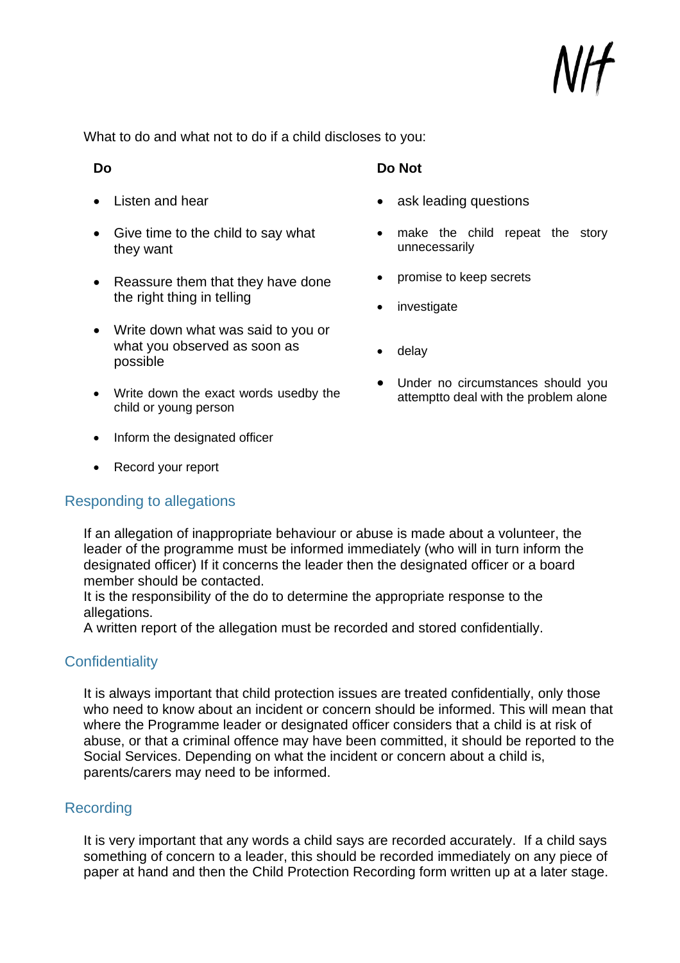What to do and what not to do if a child discloses to you:

#### **Do**

- Listen and hear
- Give time to the child to say what they want
- Reassure them that they have done the right thing in telling
- Write down what was said to you or what you observed as soon as possible
- Write down the exact words usedby the child or young person
- Inform the designated officer
- Record your report

## <span id="page-16-0"></span>Responding to allegations

#### **Do Not**

- ask leading questions
- make the child repeat the story unnecessarily
- promise to keep secrets
- investigate
- delay
- Under no circumstances should you attemptto deal with the problem alone

If an allegation of inappropriate behaviour or abuse is made about a volunteer, the leader of the programme must be informed immediately (who will in turn inform the designated officer) If it concerns the leader then the designated officer or a board member should be contacted.

It is the responsibility of the do to determine the appropriate response to the allegations.

A written report of the allegation must be recorded and stored confidentially.

## <span id="page-16-1"></span>**Confidentiality**

It is always important that child protection issues are treated confidentially, only those who need to know about an incident or concern should be informed. This will mean that where the Programme leader or designated officer considers that a child is at risk of abuse, or that a criminal offence may have been committed, it should be reported to the Social Services. Depending on what the incident or concern about a child is, parents/carers may need to be informed.

## <span id="page-16-2"></span>Recording

It is very important that any words a child says are recorded accurately. If a child says something of concern to a leader, this should be recorded immediately on any piece of paper at hand and then the Child Protection Recording form written up at a later stage.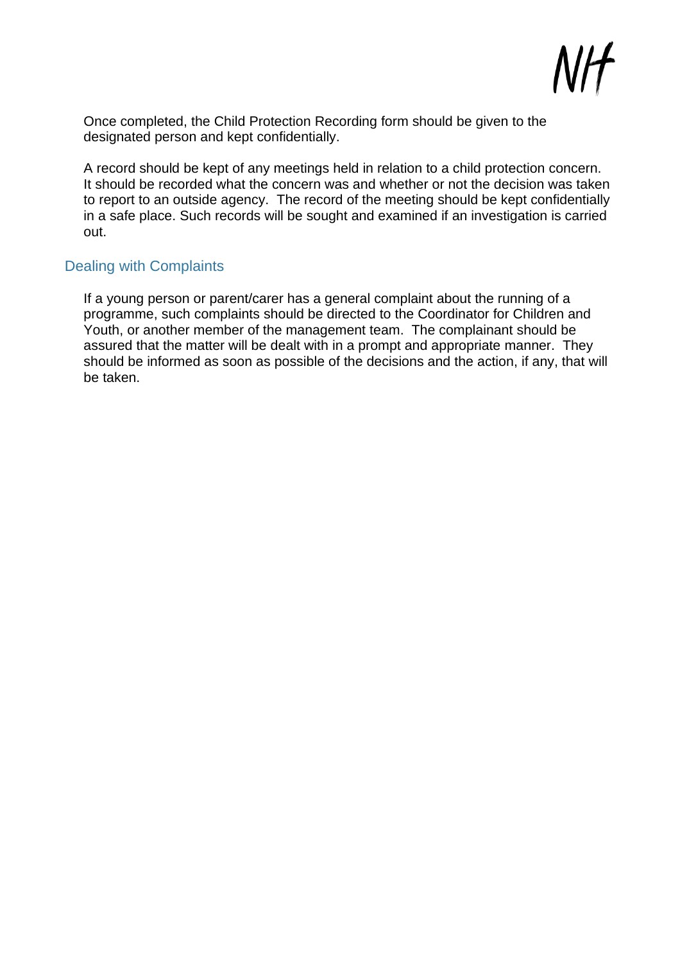

Once completed, the Child Protection Recording form should be given to the designated person and kept confidentially.

A record should be kept of any meetings held in relation to a child protection concern. It should be recorded what the concern was and whether or not the decision was taken to report to an outside agency. The record of the meeting should be kept confidentially in a safe place. Such records will be sought and examined if an investigation is carried out.

#### <span id="page-17-0"></span>Dealing with Complaints

If a young person or parent/carer has a general complaint about the running of a programme, such complaints should be directed to the Coordinator for Children and Youth, or another member of the management team. The complainant should be assured that the matter will be dealt with in a prompt and appropriate manner. They should be informed as soon as possible of the decisions and the action, if any, that will be taken.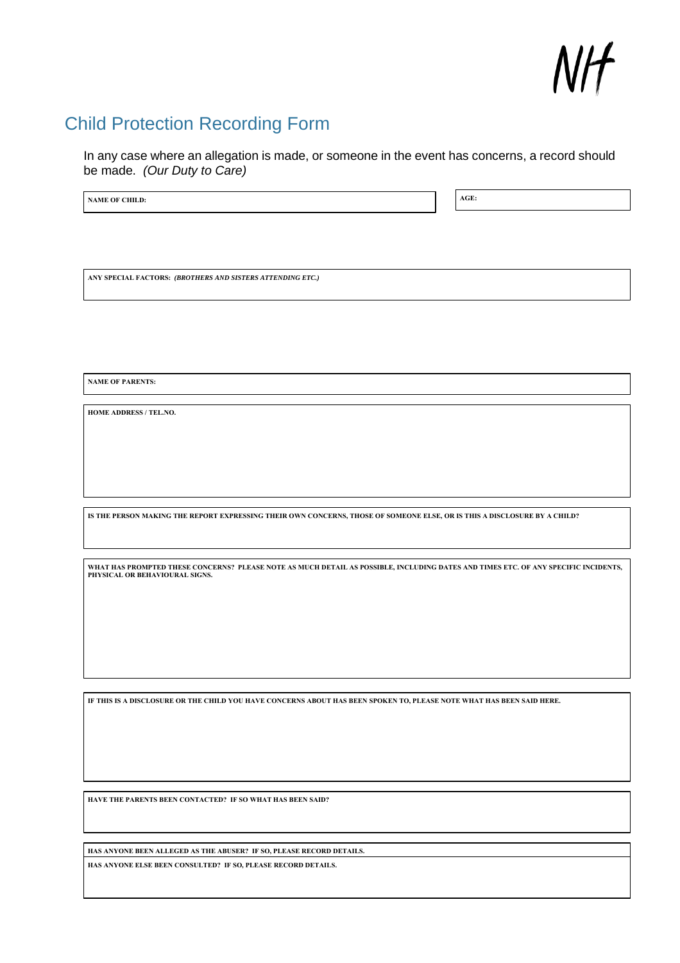

## <span id="page-18-0"></span>Child Protection Recording Form

In any case where an allegation is made, or someone in the event has concerns, a record should be made. *(Our Duty to Care)*

**NAME OF CHILD: AGE: AGE: AGE: AGE: AGE: AGE: AGE: AGE: AGE: AGE: AGE: AGE: AGE: AGE: AGE: AGE: AGE: AGE: AGE: AGE: AGE: AGE: AGE: AGE: AGE: AGE: AGE: AGE: AGE: A** 

**ANY SPECIAL FACTORS:** *(BROTHERS AND SISTERS ATTENDING ETC.)*

**NAME OF PARENTS:**

**HOME ADDRESS / TEL.NO.**

IS THE PERSON MAKING THE REPORT EXPRESSING THEIR OWN CONCERNS, THOSE OF SOMEONE ELSE, OR IS THIS A DISCLOSURE BY A CHILD?

WHAT HAS PROMPTED THESE CONCERNS? PLEASE NOTE AS MUCH DETAIL AS POSSIBLE, INCLUDING DATES AND TIMES ETC. OF ANY SPECIFIC INCIDENTS,<br>PHYSICAL OR BEHAVIOURAL SIGNS.

IF THIS IS A DISCLOSURE OR THE CHILD YOU HAVE CONCERNS ABOUT HAS BEEN SPOKEN TO, PLEASE NOTE WHAT HAS BEEN SAID HERE.

**HAVE THE PARENTS BEEN CONTACTED? IF SO WHAT HAS BEEN SAID?**

**HAS ANYONE BEEN ALLEGED AS THE ABUSER? IF SO, PLEASE RECORD DETAILS.**

**HAS ANYONE ELSE BEEN CONSULTED? IF SO, PLEASE RECORD DETAILS.**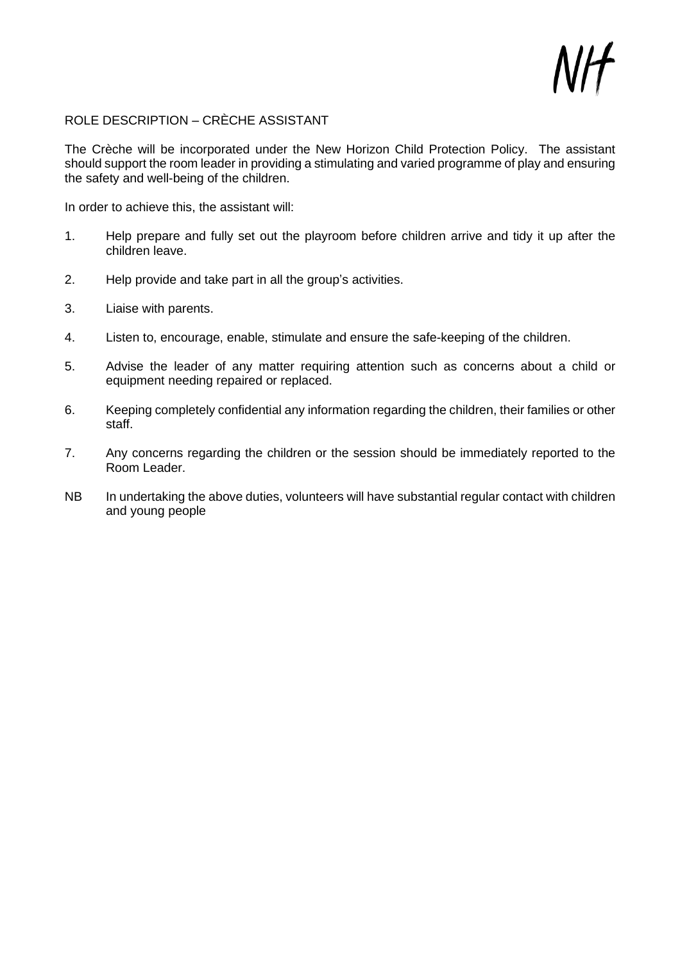

#### ROLE DESCRIPTION – CRÈCHE ASSISTANT

The Crèche will be incorporated under the New Horizon Child Protection Policy. The assistant should support the room leader in providing a stimulating and varied programme of play and ensuring the safety and well-being of the children.

In order to achieve this, the assistant will:

- 1. Help prepare and fully set out the playroom before children arrive and tidy it up after the children leave.
- 2. Help provide and take part in all the group's activities.
- 3. Liaise with parents.
- 4. Listen to, encourage, enable, stimulate and ensure the safe-keeping of the children.
- 5. Advise the leader of any matter requiring attention such as concerns about a child or equipment needing repaired or replaced.
- 6. Keeping completely confidential any information regarding the children, their families or other staff.
- 7. Any concerns regarding the children or the session should be immediately reported to the Room Leader.
- NB In undertaking the above duties, volunteers will have substantial regular contact with children and young people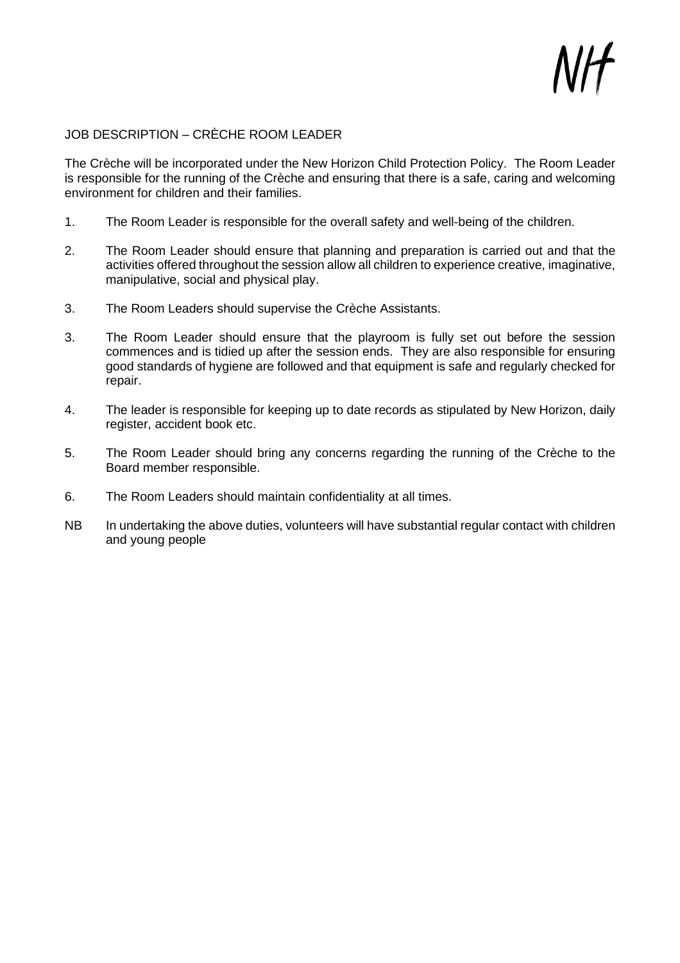

## JOB DESCRIPTION – CRÈCHE ROOM LEADER

The Crèche will be incorporated under the New Horizon Child Protection Policy. The Room Leader is responsible for the running of the Crèche and ensuring that there is a safe, caring and welcoming environment for children and their families.

- 1. The Room Leader is responsible for the overall safety and well-being of the children.
- 2. The Room Leader should ensure that planning and preparation is carried out and that the activities offered throughout the session allow all children to experience creative, imaginative, manipulative, social and physical play.
- 3. The Room Leaders should supervise the Crèche Assistants.
- 3. The Room Leader should ensure that the playroom is fully set out before the session commences and is tidied up after the session ends. They are also responsible for ensuring good standards of hygiene are followed and that equipment is safe and regularly checked for repair.
- 4. The leader is responsible for keeping up to date records as stipulated by New Horizon, daily register, accident book etc.
- 5. The Room Leader should bring any concerns regarding the running of the Crèche to the Board member responsible.
- 6. The Room Leaders should maintain confidentiality at all times.
- NB In undertaking the above duties, volunteers will have substantial regular contact with children and young people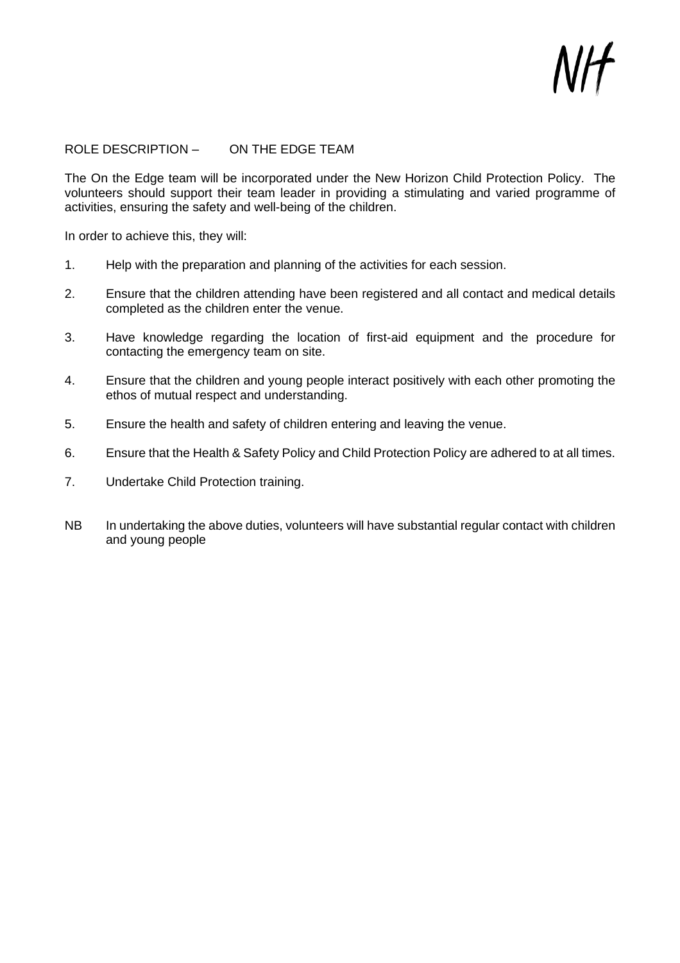#### ROLE DESCRIPTION – ON THE EDGE TEAM

The On the Edge team will be incorporated under the New Horizon Child Protection Policy. The volunteers should support their team leader in providing a stimulating and varied programme of activities, ensuring the safety and well-being of the children.

In order to achieve this, they will:

- 1. Help with the preparation and planning of the activities for each session.
- 2. Ensure that the children attending have been registered and all contact and medical details completed as the children enter the venue.
- 3. Have knowledge regarding the location of first-aid equipment and the procedure for contacting the emergency team on site.
- 4. Ensure that the children and young people interact positively with each other promoting the ethos of mutual respect and understanding.
- 5. Ensure the health and safety of children entering and leaving the venue.
- 6. Ensure that the Health & Safety Policy and Child Protection Policy are adhered to at all times.
- 7. Undertake Child Protection training.
- NB In undertaking the above duties, volunteers will have substantial regular contact with children and young people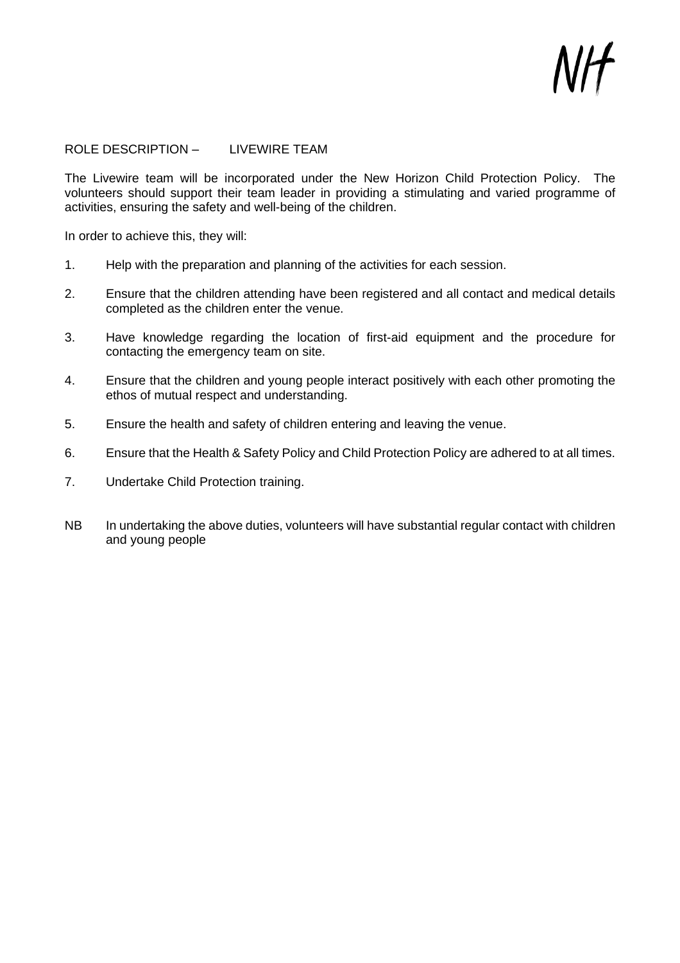#### ROLE DESCRIPTION – LIVEWIRE TEAM

The Livewire team will be incorporated under the New Horizon Child Protection Policy. The volunteers should support their team leader in providing a stimulating and varied programme of activities, ensuring the safety and well-being of the children.

In order to achieve this, they will:

- 1. Help with the preparation and planning of the activities for each session.
- 2. Ensure that the children attending have been registered and all contact and medical details completed as the children enter the venue.
- 3. Have knowledge regarding the location of first-aid equipment and the procedure for contacting the emergency team on site.
- 4. Ensure that the children and young people interact positively with each other promoting the ethos of mutual respect and understanding.
- 5. Ensure the health and safety of children entering and leaving the venue.
- 6. Ensure that the Health & Safety Policy and Child Protection Policy are adhered to at all times.
- 7. Undertake Child Protection training.
- NB In undertaking the above duties, volunteers will have substantial regular contact with children and young people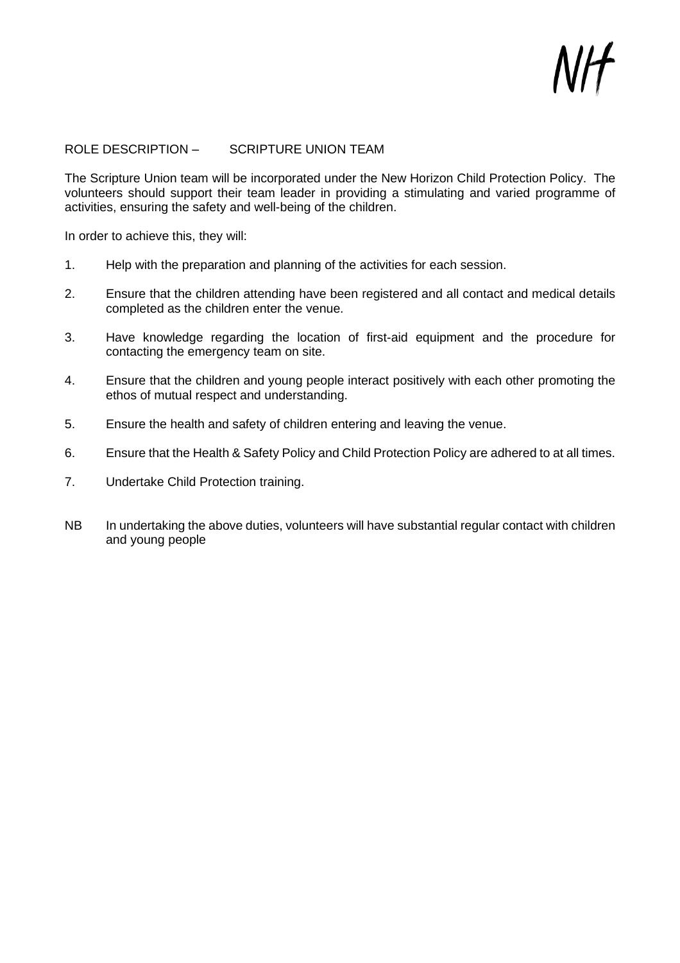#### ROLE DESCRIPTION – SCRIPTURE UNION TEAM

The Scripture Union team will be incorporated under the New Horizon Child Protection Policy. The volunteers should support their team leader in providing a stimulating and varied programme of activities, ensuring the safety and well-being of the children.

In order to achieve this, they will:

- 1. Help with the preparation and planning of the activities for each session.
- 2. Ensure that the children attending have been registered and all contact and medical details completed as the children enter the venue.
- 3. Have knowledge regarding the location of first-aid equipment and the procedure for contacting the emergency team on site.
- 4. Ensure that the children and young people interact positively with each other promoting the ethos of mutual respect and understanding.
- 5. Ensure the health and safety of children entering and leaving the venue.
- 6. Ensure that the Health & Safety Policy and Child Protection Policy are adhered to at all times.
- 7. Undertake Child Protection training.
- NB In undertaking the above duties, volunteers will have substantial regular contact with children and young people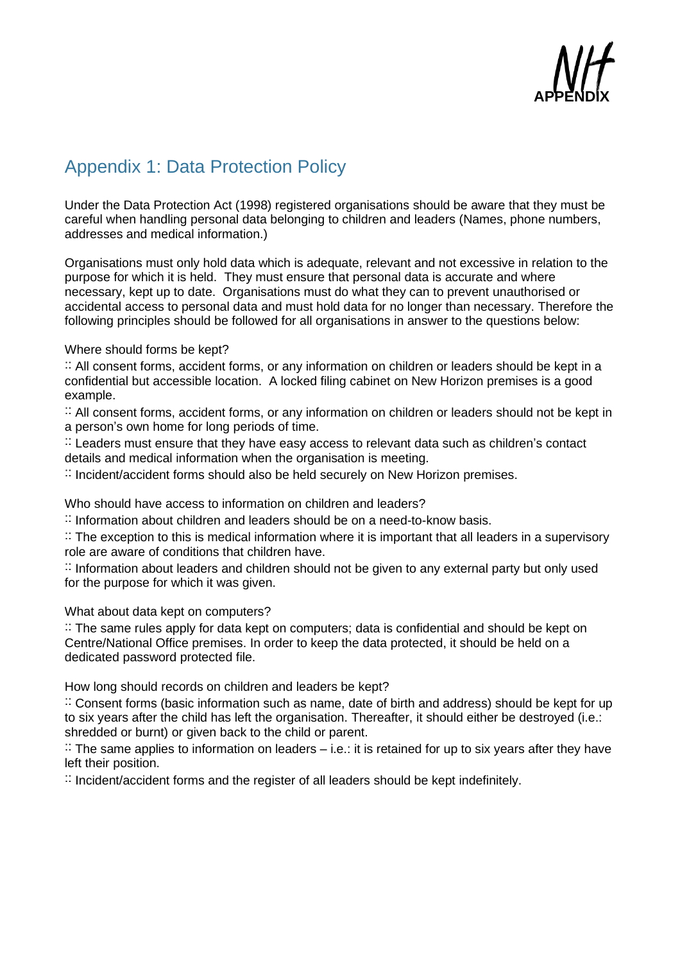

# <span id="page-24-0"></span>Appendix 1: Data Protection Policy

Under the Data Protection Act (1998) registered organisations should be aware that they must be careful when handling personal data belonging to children and leaders (Names, phone numbers, addresses and medical information.)

Organisations must only hold data which is adequate, relevant and not excessive in relation to the purpose for which it is held. They must ensure that personal data is accurate and where necessary, kept up to date. Organisations must do what they can to prevent unauthorised or accidental access to personal data and must hold data for no longer than necessary. Therefore the following principles should be followed for all organisations in answer to the questions below:

Where should forms be kept?

:: All consent forms, accident forms, or any information on children or leaders should be kept in a confidential but accessible location. A locked filing cabinet on New Horizon premises is a good example.

:: All consent forms, accident forms, or any information on children or leaders should not be kept in a person's own home for long periods of time.

 $\therefore$  Leaders must ensure that they have easy access to relevant data such as children's contact details and medical information when the organisation is meeting.

 $\therefore$  Incident/accident forms should also be held securely on New Horizon premises.

Who should have access to information on children and leaders?

 $\therefore$  Information about children and leaders should be on a need-to-know basis.

:: The exception to this is medical information where it is important that all leaders in a supervisory role are aware of conditions that children have.

:: Information about leaders and children should not be given to any external party but only used for the purpose for which it was given.

#### What about data kept on computers?

:: The same rules apply for data kept on computers; data is confidential and should be kept on Centre/National Office premises. In order to keep the data protected, it should be held on a dedicated password protected file.

How long should records on children and leaders be kept?

:: Consent forms (basic information such as name, date of birth and address) should be kept for up to six years after the child has left the organisation. Thereafter, it should either be destroyed (i.e.: shredded or burnt) or given back to the child or parent.

 $\therefore$  The same applies to information on leaders  $-$  i.e.: it is retained for up to six years after they have left their position.

 $\therefore$  Incident/accident forms and the register of all leaders should be kept indefinitely.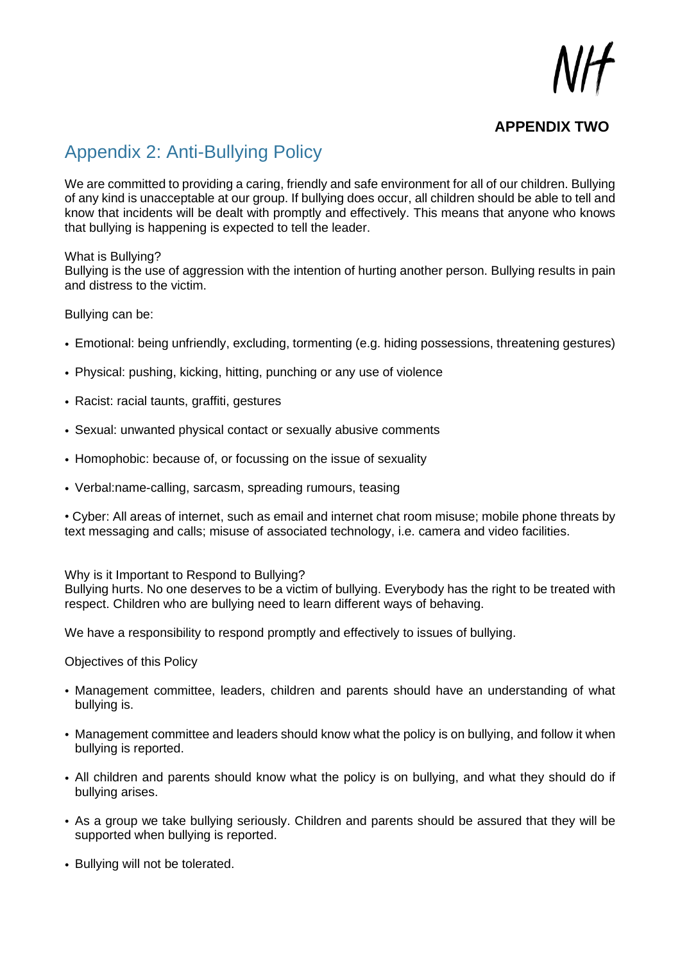## **APPENDIX TWO**

# <span id="page-25-0"></span>Appendix 2: Anti-Bullying Policy

We are committed to providing a caring, friendly and safe environment for all of our children. Bullying of any kind is unacceptable at our group. If bullying does occur, all children should be able to tell and know that incidents will be dealt with promptly and effectively. This means that anyone who knows that bullying is happening is expected to tell the leader.

#### What is Bullying?

Bullying is the use of aggression with the intention of hurting another person. Bullying results in pain and distress to the victim.

#### Bullying can be:

- Emotional: being unfriendly, excluding, tormenting (e.g. hiding possessions, threatening gestures)
- Physical: pushing, kicking, hitting, punching or any use of violence
- Racist: racial taunts, graffiti, gestures
- Sexual: unwanted physical contact or sexually abusive comments
- Homophobic: because of, or focussing on the issue of sexuality
- Verbal:name-calling, sarcasm, spreading rumours, teasing

• Cyber: All areas of internet, such as email and internet chat room misuse; mobile phone threats by text messaging and calls; misuse of associated technology, i.e. camera and video facilities.

Why is it Important to Respond to Bullying?

Bullying hurts. No one deserves to be a victim of bullying. Everybody has the right to be treated with respect. Children who are bullying need to learn different ways of behaving.

We have a responsibility to respond promptly and effectively to issues of bullying.

#### Objectives of this Policy

- Management committee, leaders, children and parents should have an understanding of what bullying is.
- Management committee and leaders should know what the policy is on bullying, and follow it when bullying is reported.
- All children and parents should know what the policy is on bullying, and what they should do if bullying arises.
- As a group we take bullying seriously. Children and parents should be assured that they will be supported when bullying is reported.
- Bullying will not be tolerated.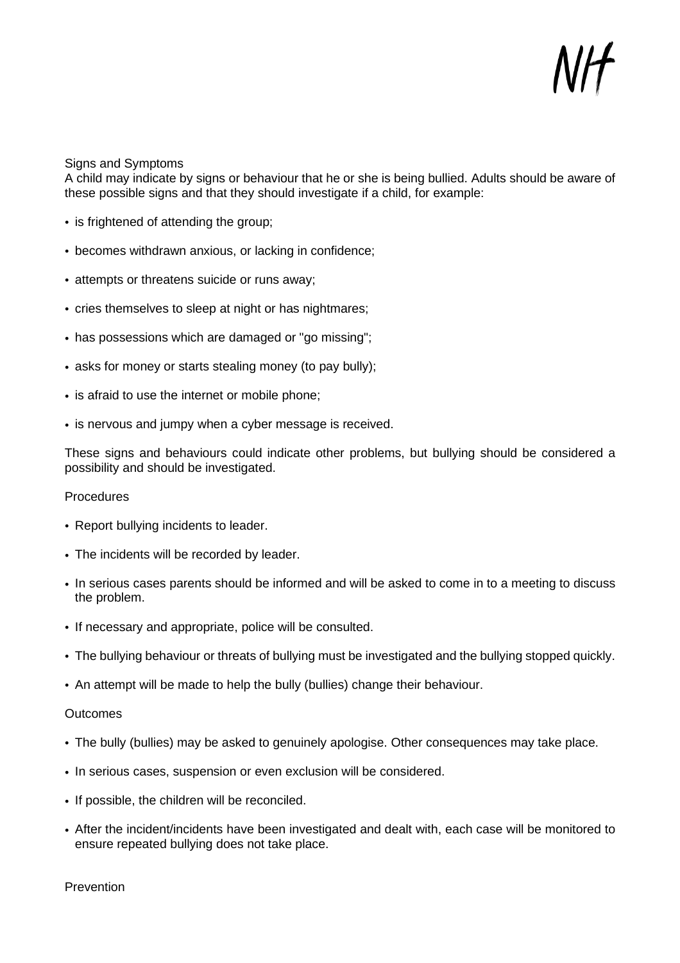Signs and Symptoms

A child may indicate by signs or behaviour that he or she is being bullied. Adults should be aware of these possible signs and that they should investigate if a child, for example:

- is frightened of attending the group;
- becomes withdrawn anxious, or lacking in confidence;
- attempts or threatens suicide or runs away;
- cries themselves to sleep at night or has nightmares;
- has possessions which are damaged or "go missing";
- asks for money or starts stealing money (to pay bully);
- is afraid to use the internet or mobile phone;
- is nervous and jumpy when a cyber message is received.

These signs and behaviours could indicate other problems, but bullying should be considered a possibility and should be investigated.

#### Procedures

- Report bullying incidents to leader.
- The incidents will be recorded by leader.
- In serious cases parents should be informed and will be asked to come in to a meeting to discuss the problem.
- If necessary and appropriate, police will be consulted.
- The bullying behaviour or threats of bullying must be investigated and the bullying stopped quickly.
- An attempt will be made to help the bully (bullies) change their behaviour.

#### **Outcomes**

- The bully (bullies) may be asked to genuinely apologise. Other consequences may take place.
- In serious cases, suspension or even exclusion will be considered.
- If possible, the children will be reconciled.
- After the incident/incidents have been investigated and dealt with, each case will be monitored to ensure repeated bullying does not take place.

Prevention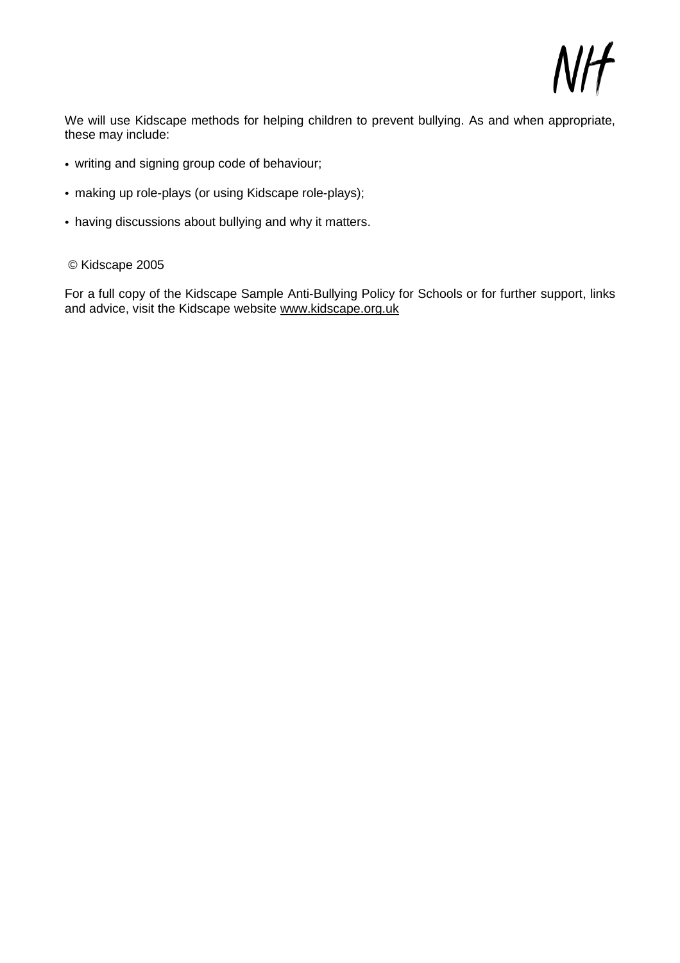We will use Kidscape methods for helping children to prevent bullying. As and when appropriate, these may include:

- writing and signing group code of behaviour;
- making up role-plays (or using Kidscape role-plays);
- having discussions about bullying and why it matters.

#### © Kidscape 2005

For a full copy of the Kidscape Sample Anti-Bullying Policy for Schools or for further support, links and advice, visit the Kidscape website [www.kidscape.org.uk](http://www.kidscape.org.uk/)